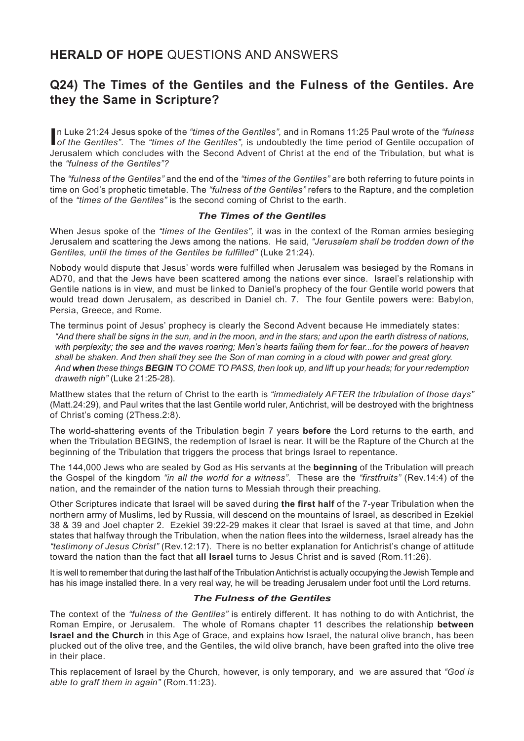## **HERALD OF HOPE** QUESTIONS AND ANSWERS

## **Q24) The Times of the Gentiles and the Fulness of the Gentiles. Are they the Same in Scripture?**

**I** n Luke 21:24 Jesus spoke of the *"times of the Gentiles",* and in Romans 11:25 Paul wrote of the *"fulness of the Gentiles"*. The *"times of the Gentiles",* is undoubtedly the time period of Gentile occupation of Jerusalem which concludes with the Second Advent of Christ at the end of the Tribulation, but what is the *"fulness of the Gentiles"?*

The *"fulness of the Gentiles"* and the end of the *"times of the Gentiles"* are both referring to future points in time on God's prophetic timetable. The *"fulness of the Gentiles"* refers to the Rapture, and the completion of the *"times of the Gentiles"* is the second coming of Christ to the earth.

## *The Times of the Gentiles*

When Jesus spoke of the *"times of the Gentiles",* it was in the context of the Roman armies besieging Jerusalem and scattering the Jews among the nations. He said, *"Jerusalem shall be trodden down of the Gentiles, until the times of the Gentiles be fulfilled"* (Luke 21:24).

Nobody would dispute that Jesus' words were fulfilled when Jerusalem was besieged by the Romans in AD70, and that the Jews have been scattered among the nations ever since. Israel's relationship with Gentile nations is in view, and must be linked to Daniel's prophecy of the four Gentile world powers that would tread down Jerusalem, as described in Daniel ch. 7. The four Gentile powers were: Babylon, Persia, Greece, and Rome.

The terminus point of Jesus' prophecy is clearly the Second Advent because He immediately states: *"And there shall be signs in the sun, and in the moon, and in the stars; and upon the earth distress of nations, with perplexity; the sea and the waves roaring; Men's hearts failing them for fear...for the powers of heaven shall be shaken. And then shall they see the Son of man coming in a cloud with power and great glory. And when these things BEGIN TO COME TO PASS, then look up, and lift* up *your heads; for your redemption draweth nigh"* (Luke 21:25-28).

Matthew states that the return of Christ to the earth is *"immediately AFTER the tribulation of those days"* (Matt.24:29), and Paul writes that the last Gentile world ruler, Antichrist, will be destroyed with the brightness of Christ's coming (2Thess.2:8).

The world-shattering events of the Tribulation begin 7 years **before** the Lord returns to the earth, and when the Tribulation BEGINS, the redemption of Israel is near. It will be the Rapture of the Church at the beginning of the Tribulation that triggers the process that brings Israel to repentance.

The 144,000 Jews who are sealed by God as His servants at the **beginning** of the Tribulation will preach the Gospel of the kingdom *"in all the world for a witness".* These are the *"firstfruits"* (Rev.14:4) of the nation, and the remainder of the nation turns to Messiah through their preaching.

Other Scriptures indicate that Israel will be saved during **the first half** of the 7-year Tribulation when the northern army of Muslims, led by Russia, will descend on the mountains of Israel, as described in Ezekiel 38 & 39 and Joel chapter 2. Ezekiel 39:22-29 makes it clear that Israel is saved at that time, and John states that halfway through the Tribulation, when the nation flees into the wilderness, Israel already has the *"testimony of Jesus Christ"* (Rev.12:17). There is no better explanation for Antichrist's change of attitude toward the nation than the fact that **all Israel** turns to Jesus Christ and is saved (Rom.11:26).

It is well to remember that during the last half of the Tribulation Antichrist is actually occupying the Jewish Temple and has his image installed there. In a very real way, he will be treading Jerusalem under foot until the Lord returns.

## *The Fulness of the Gentiles*

The context of the *"fulness of the Gentiles"* is entirely different. It has nothing to do with Antichrist, the Roman Empire, or Jerusalem. The whole of Romans chapter 11 describes the relationship **between Israel and the Church** in this Age of Grace, and explains how Israel, the natural olive branch, has been plucked out of the olive tree, and the Gentiles, the wild olive branch, have been grafted into the olive tree in their place.

This replacement of Israel by the Church, however, is only temporary, and we are assured that *"God is able to graff them in again"* (Rom.11:23).